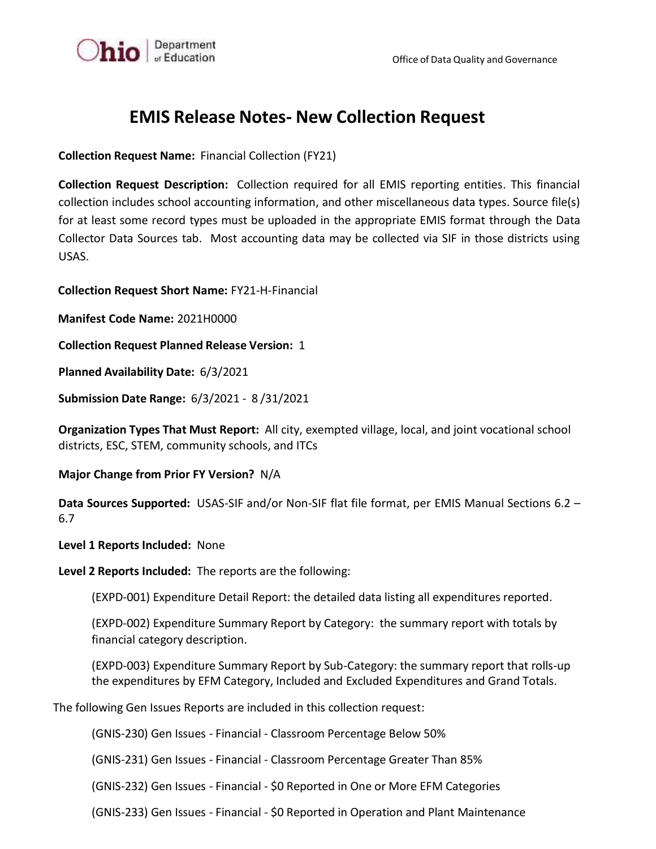

## **EMIS Release Notes- New Collection Request**

**Collection Request Name:** Financial Collection (FY21)

**Collection Request Description:** Collection required for all EMIS reporting entities. This financial collection includes school accounting information, and other miscellaneous data types. Source file(s) for at least some record types must be uploaded in the appropriate EMIS format through the Data Collector Data Sources tab. Most accounting data may be collected via SIF in those districts using USAS.

**Collection Request Short Name:** FY21-H-Financial

**Manifest Code Name:** 2021H0000

**Collection Request Planned Release Version:** 1

**Planned Availability Date:** 6/3/2021

**Submission Date Range:** 6/3/2021 - 8 /31/2021

**Organization Types That Must Report:** All city, exempted village, local, and joint vocational school districts, ESC, STEM, community schools, and ITCs

**Major Change from Prior FY Version?** N/A

**Data Sources Supported:** USAS-SIF and/or Non‐SIF flat file format, per EMIS Manual Sections 6.2 – 6.7

## **Level 1 Reports Included:** None

**Level 2 Reports Included:** The reports are the following:

(EXPD-001) Expenditure Detail Report: the detailed data listing all expenditures reported.

(EXPD-002) Expenditure Summary Report by Category: the summary report with totals by financial category description.

(EXPD-003) Expenditure Summary Report by Sub-Category: the summary report that rolls-up the expenditures by EFM Category, Included and Excluded Expenditures and Grand Totals.

The following Gen Issues Reports are included in this collection request:

(GNIS-230) Gen Issues - Financial - Classroom Percentage Below 50%

(GNIS-231) Gen Issues - Financial - Classroom Percentage Greater Than 85%

(GNIS-232) Gen Issues - Financial - \$0 Reported in One or More EFM Categories

(GNIS-233) Gen Issues - Financial - \$0 Reported in Operation and Plant Maintenance